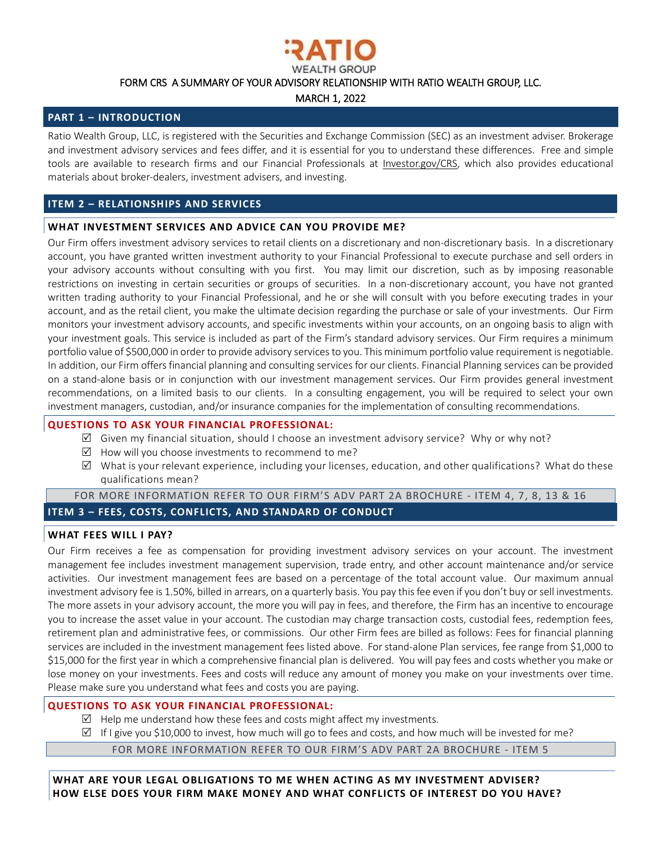

FORM CRS A SUMMARY OF YOUR ADVISORY RELATIONSHIP WITH RATIO WEALTH GROUP, LLC.

MARCH 1, 2022

## **PART 1 – INTRODUCTION**

Ratio Wealth Group, LLC, is registered with the Securities and Exchange Commission (SEC) as an investment adviser. Brokerage and investment advisory services and fees differ, and it is essential for you to understand these differences. Free and simple tools are available to research firms and our Financial Professionals at [Investor.gov/CRS,](https://www.investor.gov/CRS) which also provides educational materials about broker-dealers, investment advisers, and investing.

## **ITEM 2 – RELATIONSHIPS AND SERVICES**

# **WHAT INVESTMENT SERVICES AND ADVICE CAN YOU PROVIDE ME?**

Our Firm offers investment advisory services to retail clients on a discretionary and non-discretionary basis. In a discretionary account, you have granted written investment authority to your Financial Professional to execute purchase and sell orders in your advisory accounts without consulting with you first. You may limit our discretion, such as by imposing reasonable restrictions on investing in certain securities or groups of securities. In a non-discretionary account, you have not granted written trading authority to your Financial Professional, and he or she will consult with you before executing trades in your account, and as the retail client, you make the ultimate decision regarding the purchase or sale of your investments. Our Firm monitors your investment advisory accounts, and specific investments within your accounts, on an ongoing basis to align with your investment goals. This service is included as part of the Firm's standard advisory services. Our Firm requires a minimum portfolio value of \$500,000 in order to provide advisory servicesto you. This minimum portfolio value requirement is negotiable. In addition, our Firm offersfinancial planning and consulting services for our clients. Financial Planning services can be provided on a stand-alone basis or in conjunction with our investment management services. Our Firm provides general investment recommendations, on a limited basis to our clients. In a consulting engagement, you will be required to select your own investment managers, custodian, and/or insurance companies for the implementation of consulting recommendations.

## **QUESTIONS TO ASK YOUR FINANCIAL PROFESSIONAL:**

- $\boxtimes$  Given my financial situation, should I choose an investment advisory service? Why or why not?
- $\boxtimes$  How will you choose investments to recommend to me?
- $\boxtimes$  What is your relevant experience, including your licenses, education, and other qualifications? What do these qualifications mean?

# FOR MORE [INFORMATION](https://adviserinfo.sec.gov/firm/summary/306278) REFER TO OUR FIRM'S ADV PART 2A BROCHURE - ITEM 4, 7, 8, 13 & 16 **ITEM 3 – FEES, COSTS, CONFLICTS, AND STANDARD OF CONDUCT**

## **WHAT FEES WILL I PAY?**

Our Firm receives a fee as compensation for providing investment advisory services on your account. The investment management fee includes investment management supervision, trade entry, and other account maintenance and/or service activities. Our investment management fees are based on a percentage of the total account value. Our maximum annual investment advisory fee is 1.50%, billed in arrears, on a quarterly basis. You pay this fee even if you don't buy or sell investments. The more assets in your advisory account, the more you will pay in fees, and therefore, the Firm has an incentive to encourage you to increase the asset value in your account. The custodian may charge transaction costs, custodial fees, redemption fees, retirement plan and administrative fees, or commissions. Our other Firm fees are billed as follows: Fees for financial planning services are included in the investment management fees listed above. For stand-alone Plan services, fee range from \$1,000 to \$15,000 for the first year in which a comprehensive financial plan is delivered. You will pay fees and costs whether you make or lose money on your investments. Fees and costs will reduce any amount of money you make on your investments over time. Please make sure you understand what fees and costs you are paying.

## **QUESTIONS TO ASK YOUR FINANCIAL PROFESSIONAL:**

- $\boxtimes$  Help me understand how these fees and costs might affect my investments.
- $\boxtimes$  If I give you \$10,000 to invest, how much will go to fees and costs, and how much will be invested for me?

FOR MORE [INFORMATION](https://adviserinfo.sec.gov/firm/summary/306278) REFER TO OUR FIRM'S ADV PART 2A BROCHURE - ITEM 5

**WHAT ARE YOUR LEGAL OBLIGATIONS TO ME WHEN ACTING AS MY INVESTMENT ADVISER? HOW ELSE DOES YOUR FIRM MAKE MONEY AND WHAT CONFLICTS OF INTEREST DO YOU HAVE?**